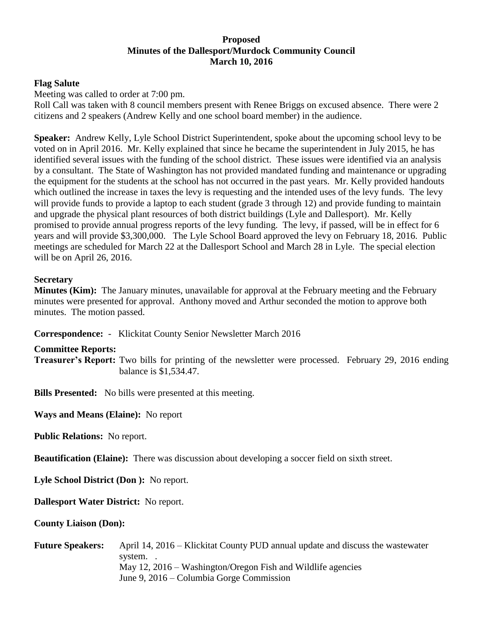### **Proposed Minutes of the Dallesport/Murdock Community Council March 10, 2016**

## **Flag Salute**

Meeting was called to order at 7:00 pm.

Roll Call was taken with 8 council members present with Renee Briggs on excused absence. There were 2 citizens and 2 speakers (Andrew Kelly and one school board member) in the audience.

**Speaker:** Andrew Kelly, Lyle School District Superintendent, spoke about the upcoming school levy to be voted on in April 2016. Mr. Kelly explained that since he became the superintendent in July 2015, he has identified several issues with the funding of the school district. These issues were identified via an analysis by a consultant. The State of Washington has not provided mandated funding and maintenance or upgrading the equipment for the students at the school has not occurred in the past years. Mr. Kelly provided handouts which outlined the increase in taxes the levy is requesting and the intended uses of the levy funds. The levy will provide funds to provide a laptop to each student (grade 3 through 12) and provide funding to maintain and upgrade the physical plant resources of both district buildings (Lyle and Dallesport). Mr. Kelly promised to provide annual progress reports of the levy funding. The levy, if passed, will be in effect for 6 years and will provide \$3,300,000. The Lyle School Board approved the levy on February 18, 2016. Public meetings are scheduled for March 22 at the Dallesport School and March 28 in Lyle. The special election will be on April 26, 2016.

### **Secretary**

**Minutes (Kim):** The January minutes, unavailable for approval at the February meeting and the February minutes were presented for approval. Anthony moved and Arthur seconded the motion to approve both minutes. The motion passed.

**Correspondence:** - Klickitat County Senior Newsletter March 2016

#### **Committee Reports:**

**Treasurer's Report:** Two bills for printing of the newsletter were processed. February 29, 2016 ending balance is \$1,534.47.

**Bills Presented:** No bills were presented at this meeting.

**Ways and Means (Elaine):** No report

**Public Relations:** No report.

**Beautification (Elaine):** There was discussion about developing a soccer field on sixth street.

**Lyle School District (Don ):** No report.

**Dallesport Water District:** No report.

**County Liaison (Don):** 

**Future Speakers:** April 14, 2016 – Klickitat County PUD annual update and discuss the wastewater system. . May 12, 2016 – Washington/Oregon Fish and Wildlife agencies June 9, 2016 – Columbia Gorge Commission